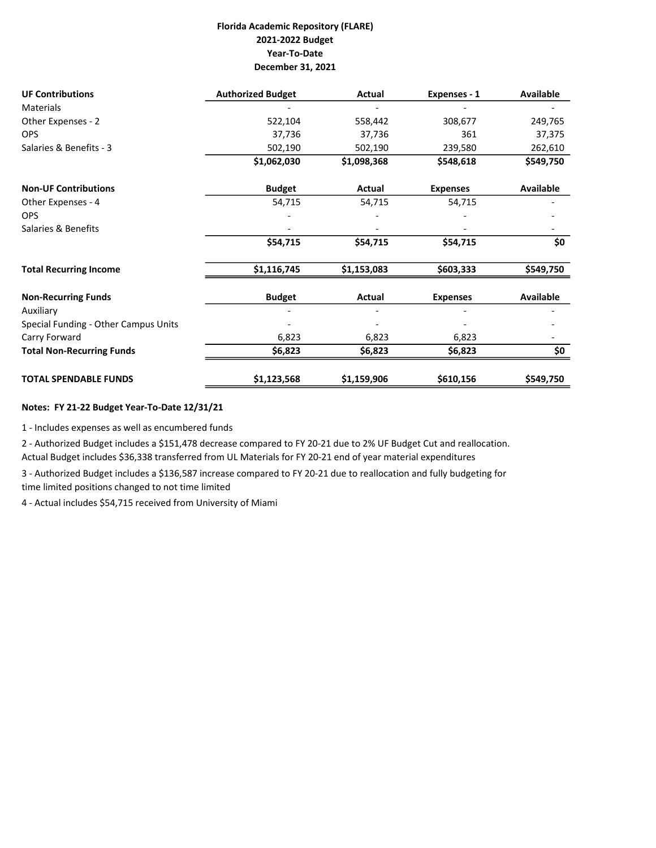## Florida Academic Repository (FLARE) 2021-2022 Budget Year-To-Date December 31, 2021

| <b>UF Contributions</b>              | <b>Authorized Budget</b> | Actual      | Expenses - 1    | <b>Available</b> |
|--------------------------------------|--------------------------|-------------|-----------------|------------------|
| <b>Materials</b>                     |                          |             |                 |                  |
| Other Expenses - 2                   | 522,104                  | 558,442     | 308,677         | 249,765          |
| <b>OPS</b>                           | 37,736                   | 37,736      | 361             | 37,375           |
| Salaries & Benefits - 3              | 502,190                  | 502,190     | 239,580         | 262,610          |
|                                      | \$1,062,030              | \$1,098,368 | \$548,618       | \$549,750        |
| <b>Non-UF Contributions</b>          | <b>Budget</b>            | Actual      | <b>Expenses</b> | <b>Available</b> |
| Other Expenses - 4                   | 54,715                   | 54,715      | 54,715          |                  |
| <b>OPS</b>                           |                          |             |                 |                  |
| Salaries & Benefits                  |                          |             |                 |                  |
|                                      | \$54,715                 | \$54,715    | \$54,715        | \$0              |
| <b>Total Recurring Income</b>        | \$1,116,745              | \$1,153,083 | \$603,333       | \$549,750        |
| <b>Non-Recurring Funds</b>           | <b>Budget</b>            | Actual      | <b>Expenses</b> | <b>Available</b> |
| Auxiliary                            |                          |             |                 |                  |
| Special Funding - Other Campus Units |                          |             |                 |                  |
| Carry Forward                        | 6,823                    | 6,823       | 6,823           |                  |
| <b>Total Non-Recurring Funds</b>     | \$6,823                  | \$6,823     | \$6,823         | \$0              |
| <b>TOTAL SPENDABLE FUNDS</b>         | \$1,123,568              | \$1,159,906 | \$610,156       | \$549,750        |

## Notes: FY 21-22 Budget Year-To-Date 12/31/21

1 - Includes expenses as well as encumbered funds

2 - Authorized Budget includes a \$151,478 decrease compared to FY 20-21 due to 2% UF Budget Cut and reallocation. Actual Budget includes \$36,338 transferred from UL Materials for FY 20-21 end of year material expenditures

3 - Authorized Budget includes a \$136,587 increase compared to FY 20-21 due to reallocation and fully budgeting for time limited positions changed to not time limited

4 - Actual includes \$54,715 received from University of Miami